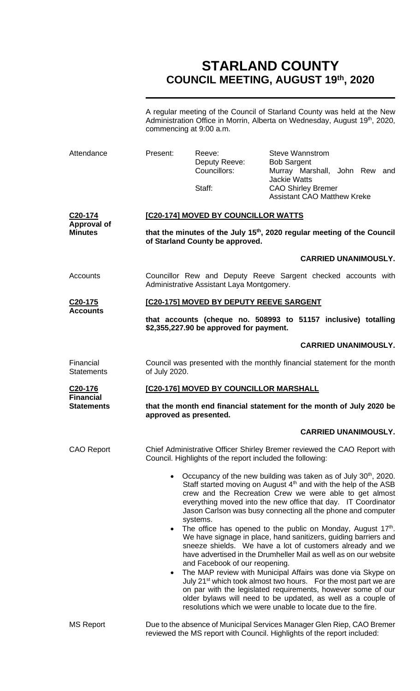# **STARLAND COUNTY COUNCIL MEETING, AUGUST 19th, 2020**

A regular meeting of the Council of Starland County was held at the New Administration Office in Morrin, Alberta on Wednesday, August 19<sup>th</sup>, 2020, commencing at 9:00 a.m.

| Attendance                                      | Present:                                                                                                                                                      | Reeve:<br>Deputy Reeve:<br>Councillors:<br>Staff:         | <b>Steve Wannstrom</b><br><b>Bob Sargent</b><br>Murray Marshall, John Rew and<br><b>Jackie Watts</b><br><b>CAO Shirley Bremer</b><br><b>Assistant CAO Matthew Kreke</b>                                                                                                                                                                                                                                                                                                                                                                                                                                                                                                                                                                                                                                                                                                                                                                                                |  |
|-------------------------------------------------|---------------------------------------------------------------------------------------------------------------------------------------------------------------|-----------------------------------------------------------|------------------------------------------------------------------------------------------------------------------------------------------------------------------------------------------------------------------------------------------------------------------------------------------------------------------------------------------------------------------------------------------------------------------------------------------------------------------------------------------------------------------------------------------------------------------------------------------------------------------------------------------------------------------------------------------------------------------------------------------------------------------------------------------------------------------------------------------------------------------------------------------------------------------------------------------------------------------------|--|
| C20-174<br><b>Approval of</b><br><b>Minutes</b> | [C20-174] MOVED BY COUNCILLOR WATTS<br>that the minutes of the July 15 <sup>th</sup> , 2020 regular meeting of the Council<br>of Starland County be approved. |                                                           |                                                                                                                                                                                                                                                                                                                                                                                                                                                                                                                                                                                                                                                                                                                                                                                                                                                                                                                                                                        |  |
|                                                 |                                                                                                                                                               |                                                           | <b>CARRIED UNANIMOUSLY.</b>                                                                                                                                                                                                                                                                                                                                                                                                                                                                                                                                                                                                                                                                                                                                                                                                                                                                                                                                            |  |
| Accounts                                        |                                                                                                                                                               | Administrative Assistant Laya Montgomery.                 | Councillor Rew and Deputy Reeve Sargent checked accounts with                                                                                                                                                                                                                                                                                                                                                                                                                                                                                                                                                                                                                                                                                                                                                                                                                                                                                                          |  |
| C <sub>20</sub> -175                            | [C20-175] MOVED BY DEPUTY REEVE SARGENT                                                                                                                       |                                                           |                                                                                                                                                                                                                                                                                                                                                                                                                                                                                                                                                                                                                                                                                                                                                                                                                                                                                                                                                                        |  |
| <b>Accounts</b>                                 |                                                                                                                                                               | \$2,355,227.90 be approved for payment.                   | that accounts (cheque no. 508993 to 51157 inclusive) totalling                                                                                                                                                                                                                                                                                                                                                                                                                                                                                                                                                                                                                                                                                                                                                                                                                                                                                                         |  |
|                                                 |                                                                                                                                                               |                                                           | <b>CARRIED UNANIMOUSLY.</b>                                                                                                                                                                                                                                                                                                                                                                                                                                                                                                                                                                                                                                                                                                                                                                                                                                                                                                                                            |  |
| Financial<br><b>Statements</b>                  | of July 2020.                                                                                                                                                 |                                                           | Council was presented with the monthly financial statement for the month                                                                                                                                                                                                                                                                                                                                                                                                                                                                                                                                                                                                                                                                                                                                                                                                                                                                                               |  |
| C <sub>20</sub> -176<br><b>Financial</b>        | [C20-176] MOVED BY COUNCILLOR MARSHALL                                                                                                                        |                                                           |                                                                                                                                                                                                                                                                                                                                                                                                                                                                                                                                                                                                                                                                                                                                                                                                                                                                                                                                                                        |  |
| <b>Statements</b>                               | that the month end financial statement for the month of July 2020 be<br>approved as presented.                                                                |                                                           |                                                                                                                                                                                                                                                                                                                                                                                                                                                                                                                                                                                                                                                                                                                                                                                                                                                                                                                                                                        |  |
|                                                 |                                                                                                                                                               |                                                           | <b>CARRIED UNANIMOUSLY.</b>                                                                                                                                                                                                                                                                                                                                                                                                                                                                                                                                                                                                                                                                                                                                                                                                                                                                                                                                            |  |
| <b>CAO Report</b>                               |                                                                                                                                                               | Council. Highlights of the report included the following: | Chief Administrative Officer Shirley Bremer reviewed the CAO Report with                                                                                                                                                                                                                                                                                                                                                                                                                                                                                                                                                                                                                                                                                                                                                                                                                                                                                               |  |
|                                                 | $\bullet$<br>$\bullet$<br>$\bullet$                                                                                                                           | systems.<br>and Facebook of our reopening.                | Occupancy of the new building was taken as of July 30 <sup>th</sup> , 2020.<br>Staff started moving on August 4 <sup>th</sup> and with the help of the ASB<br>crew and the Recreation Crew we were able to get almost<br>everything moved into the new office that day. IT Coordinator<br>Jason Carlson was busy connecting all the phone and computer<br>The office has opened to the public on Monday, August 17th.<br>We have signage in place, hand sanitizers, guiding barriers and<br>sneeze shields. We have a lot of customers already and we<br>have advertised in the Drumheller Mail as well as on our website<br>The MAP review with Municipal Affairs was done via Skype on<br>July 21 <sup>st</sup> which took almost two hours. For the most part we are<br>on par with the legislated requirements, however some of our<br>older bylaws will need to be updated, as well as a couple of<br>resolutions which we were unable to locate due to the fire. |  |
| <b>MS Report</b>                                |                                                                                                                                                               |                                                           | Due to the absence of Municipal Services Manager Glen Riep, CAO Bremer<br>reviewed the MS report with Council. Highlights of the report included:                                                                                                                                                                                                                                                                                                                                                                                                                                                                                                                                                                                                                                                                                                                                                                                                                      |  |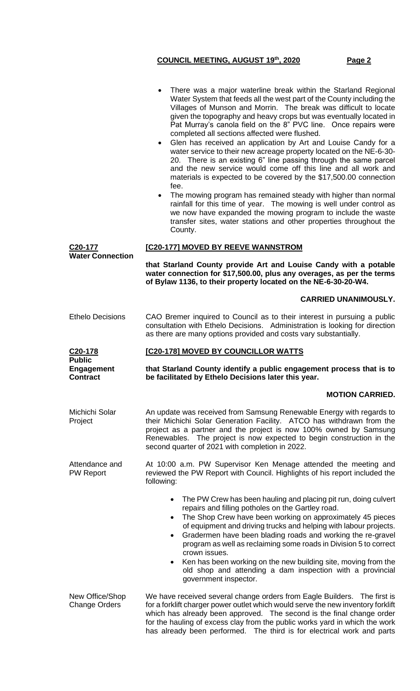|                                                 | There was a major waterline break within the Starland Regional<br>Water System that feeds all the west part of the County including the<br>Villages of Munson and Morrin. The break was difficult to locate<br>given the topography and heavy crops but was eventually located in<br>Pat Murray's canola field on the 8" PVC line. Once repairs were<br>completed all sections affected were flushed.<br>Glen has received an application by Art and Louise Candy for a<br>$\bullet$<br>water service to their new acreage property located on the NE-6-30-<br>20. There is an existing 6" line passing through the same parcel<br>and the new service would come off this line and all work and<br>materials is expected to be covered by the \$17,500.00 connection<br>fee.<br>The mowing program has remained steady with higher than normal<br>$\bullet$<br>rainfall for this time of year. The mowing is well under control as<br>we now have expanded the mowing program to include the waste<br>transfer sites, water stations and other properties throughout the<br>County. |
|-------------------------------------------------|--------------------------------------------------------------------------------------------------------------------------------------------------------------------------------------------------------------------------------------------------------------------------------------------------------------------------------------------------------------------------------------------------------------------------------------------------------------------------------------------------------------------------------------------------------------------------------------------------------------------------------------------------------------------------------------------------------------------------------------------------------------------------------------------------------------------------------------------------------------------------------------------------------------------------------------------------------------------------------------------------------------------------------------------------------------------------------------|
| C <sub>20</sub> -177<br><b>Water Connection</b> | [C20-177] MOVED BY REEVE WANNSTROM                                                                                                                                                                                                                                                                                                                                                                                                                                                                                                                                                                                                                                                                                                                                                                                                                                                                                                                                                                                                                                                   |
|                                                 | that Starland County provide Art and Louise Candy with a potable<br>water connection for \$17,500.00, plus any overages, as per the terms<br>of Bylaw 1136, to their property located on the NE-6-30-20-W4.                                                                                                                                                                                                                                                                                                                                                                                                                                                                                                                                                                                                                                                                                                                                                                                                                                                                          |
|                                                 | <b>CARRIED UNANIMOUSLY.</b>                                                                                                                                                                                                                                                                                                                                                                                                                                                                                                                                                                                                                                                                                                                                                                                                                                                                                                                                                                                                                                                          |
| <b>Ethelo Decisions</b>                         | CAO Bremer inquired to Council as to their interest in pursuing a public<br>consultation with Ethelo Decisions. Administration is looking for direction<br>as there are many options provided and costs vary substantially.                                                                                                                                                                                                                                                                                                                                                                                                                                                                                                                                                                                                                                                                                                                                                                                                                                                          |
| C <sub>20</sub> -178<br><b>Public</b>           | [C20-178] MOVED BY COUNCILLOR WATTS                                                                                                                                                                                                                                                                                                                                                                                                                                                                                                                                                                                                                                                                                                                                                                                                                                                                                                                                                                                                                                                  |
| <b>Engagement</b><br><b>Contract</b>            | that Starland County identify a public engagement process that is to<br>be facilitated by Ethelo Decisions later this year.                                                                                                                                                                                                                                                                                                                                                                                                                                                                                                                                                                                                                                                                                                                                                                                                                                                                                                                                                          |
|                                                 | <b>MOTION CARRIED.</b>                                                                                                                                                                                                                                                                                                                                                                                                                                                                                                                                                                                                                                                                                                                                                                                                                                                                                                                                                                                                                                                               |
| Michichi Solar<br>Project                       | An update was received from Samsung Renewable Energy with regards to<br>their Michichi Solar Generation Facility. ATCO has withdrawn from the<br>project as a partner and the project is now 100% owned by Samsung<br>Renewables. The project is now expected to begin construction in the<br>second quarter of 2021 with completion in 2022.                                                                                                                                                                                                                                                                                                                                                                                                                                                                                                                                                                                                                                                                                                                                        |
| Attendance and<br><b>PW Report</b>              | At 10:00 a.m. PW Supervisor Ken Menage attended the meeting and<br>reviewed the PW Report with Council. Highlights of his report included the<br>following:                                                                                                                                                                                                                                                                                                                                                                                                                                                                                                                                                                                                                                                                                                                                                                                                                                                                                                                          |
|                                                 | The PW Crew has been hauling and placing pit run, doing culvert<br>٠<br>repairs and filling potholes on the Gartley road.<br>The Shop Crew have been working on approximately 45 pieces<br>of equipment and driving trucks and helping with labour projects.<br>Gradermen have been blading roads and working the re-gravel<br>program as well as reclaiming some roads in Division 5 to correct<br>crown issues.<br>Ken has been working on the new building site, moving from the<br>$\bullet$<br>old shop and attending a dam inspection with a provincial<br>government inspector.                                                                                                                                                                                                                                                                                                                                                                                                                                                                                               |
|                                                 |                                                                                                                                                                                                                                                                                                                                                                                                                                                                                                                                                                                                                                                                                                                                                                                                                                                                                                                                                                                                                                                                                      |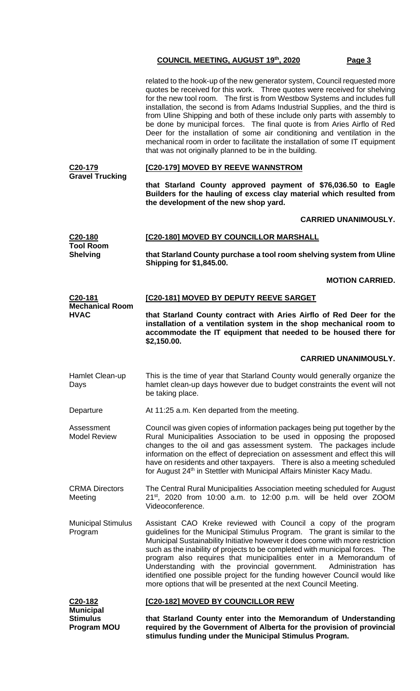|                                          | related to the hook-up of the new generator system, Council requested more<br>quotes be received for this work. Three quotes were received for shelving<br>for the new tool room. The first is from Westbow Systems and includes full<br>installation, the second is from Adams Industrial Supplies, and the third is<br>from Uline Shipping and both of these include only parts with assembly to<br>be done by municipal forces. The final quote is from Aries Airflo of Red<br>Deer for the installation of some air conditioning and ventilation in the<br>mechanical room in order to facilitate the installation of some IT equipment<br>that was not originally planned to be in the building. |  |
|------------------------------------------|-------------------------------------------------------------------------------------------------------------------------------------------------------------------------------------------------------------------------------------------------------------------------------------------------------------------------------------------------------------------------------------------------------------------------------------------------------------------------------------------------------------------------------------------------------------------------------------------------------------------------------------------------------------------------------------------------------|--|
| C <sub>20</sub> -179                     | [C20-179] MOVED BY REEVE WANNSTROM                                                                                                                                                                                                                                                                                                                                                                                                                                                                                                                                                                                                                                                                    |  |
| <b>Gravel Trucking</b>                   | that Starland County approved payment of \$76,036.50 to Eagle<br>Builders for the hauling of excess clay material which resulted from<br>the development of the new shop yard.                                                                                                                                                                                                                                                                                                                                                                                                                                                                                                                        |  |
|                                          | <b>CARRIED UNANIMOUSLY.</b>                                                                                                                                                                                                                                                                                                                                                                                                                                                                                                                                                                                                                                                                           |  |
| C <sub>20</sub> -180<br><b>Tool Room</b> | [C20-180] MOVED BY COUNCILLOR MARSHALL                                                                                                                                                                                                                                                                                                                                                                                                                                                                                                                                                                                                                                                                |  |
| <b>Shelving</b>                          | that Starland County purchase a tool room shelving system from Uline<br><b>Shipping for \$1,845.00.</b>                                                                                                                                                                                                                                                                                                                                                                                                                                                                                                                                                                                               |  |
|                                          | <b>MOTION CARRIED.</b>                                                                                                                                                                                                                                                                                                                                                                                                                                                                                                                                                                                                                                                                                |  |
| C20-181<br><b>Mechanical Room</b>        | [C20-181] MOVED BY DEPUTY REEVE SARGET                                                                                                                                                                                                                                                                                                                                                                                                                                                                                                                                                                                                                                                                |  |
| <b>HVAC</b>                              | that Starland County contract with Aries Airflo of Red Deer for the<br>installation of a ventilation system in the shop mechanical room to<br>accommodate the IT equipment that needed to be housed there for<br>\$2,150.00.                                                                                                                                                                                                                                                                                                                                                                                                                                                                          |  |
|                                          | <b>CARRIED UNANIMOUSLY.</b>                                                                                                                                                                                                                                                                                                                                                                                                                                                                                                                                                                                                                                                                           |  |
| Hamlet Clean-up<br>Days                  | This is the time of year that Starland County would generally organize the<br>hamlet clean-up days however due to budget constraints the event will not<br>be taking place.                                                                                                                                                                                                                                                                                                                                                                                                                                                                                                                           |  |
|                                          | At 11:25 a.m. Ken departed from the meeting.                                                                                                                                                                                                                                                                                                                                                                                                                                                                                                                                                                                                                                                          |  |
| Departure                                |                                                                                                                                                                                                                                                                                                                                                                                                                                                                                                                                                                                                                                                                                                       |  |
| Assessment<br><b>Model Review</b>        | Council was given copies of information packages being put together by the<br>Rural Municipalities Association to be used in opposing the proposed<br>changes to the oil and gas assessment system. The packages include<br>information on the effect of depreciation on assessment and effect this will<br>have on residents and other taxpayers.  There is also a meeting scheduled<br>for August 24 <sup>th</sup> in Stettler with Municipal Affairs Minister Kacy Madu.                                                                                                                                                                                                                           |  |
| <b>CRMA Directors</b><br>Meeting         | The Central Rural Municipalities Association meeting scheduled for August<br>$21^{st}$ , 2020 from 10:00 a.m. to 12:00 p.m. will be held over ZOOM<br>Videoconference.                                                                                                                                                                                                                                                                                                                                                                                                                                                                                                                                |  |
| <b>Municipal Stimulus</b><br>Program     | Assistant CAO Kreke reviewed with Council a copy of the program<br>guidelines for the Municipal Stimulus Program. The grant is similar to the<br>Municipal Sustainability Initiative however it does come with more restriction<br>such as the inability of projects to be completed with municipal forces. The<br>program also requires that municipalities enter in a Memorandum of<br>Understanding with the provincial government.<br>Administration has<br>identified one possible project for the funding however Council would like<br>more options that will be presented at the next Council Meeting.                                                                                        |  |
| C20-182<br><b>Municipal</b>              | [C20-182] MOVED BY COUNCILLOR REW                                                                                                                                                                                                                                                                                                                                                                                                                                                                                                                                                                                                                                                                     |  |

**stimulus funding under the Municipal Stimulus Program.**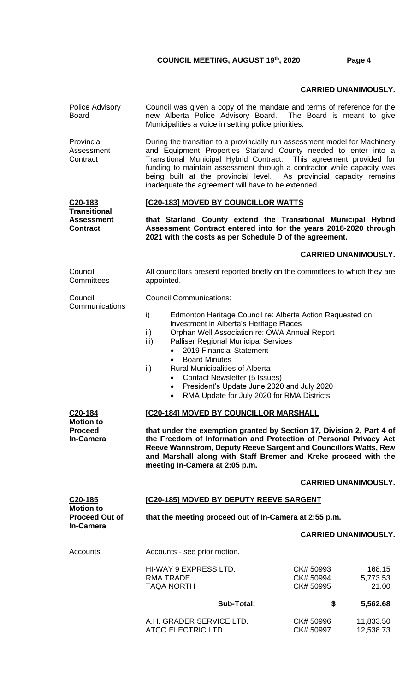#### **CARRIED UNANIMOUSLY.**

| Police Advisory<br><b>Board</b>                                                | Council was given a copy of the mandate and terms of reference for the<br>new Alberta Police Advisory Board. The Board is meant to give<br>Municipalities a voice in setting police priorities.                                                                                                                                                                                                                                                                                                                              |                                                                    |  |  |
|--------------------------------------------------------------------------------|------------------------------------------------------------------------------------------------------------------------------------------------------------------------------------------------------------------------------------------------------------------------------------------------------------------------------------------------------------------------------------------------------------------------------------------------------------------------------------------------------------------------------|--------------------------------------------------------------------|--|--|
| Provincial<br>Assessment<br>Contract                                           | During the transition to a provincially run assessment model for Machinery<br>and Equipment Properties Starland County needed to enter into a<br>Transitional Municipal Hybrid Contract. This agreement provided for<br>funding to maintain assessment through a contractor while capacity was<br>being built at the provincial level. As provincial capacity remains<br>inadequate the agreement will have to be extended.                                                                                                  |                                                                    |  |  |
| $C20-183$<br><b>Transitional</b>                                               | [C20-183] MOVED BY COUNCILLOR WATTS                                                                                                                                                                                                                                                                                                                                                                                                                                                                                          |                                                                    |  |  |
| <b>Assessment</b><br><b>Contract</b>                                           | that Starland County extend the Transitional Municipal Hybrid<br>Assessment Contract entered into for the years 2018-2020 through<br>2021 with the costs as per Schedule D of the agreement.                                                                                                                                                                                                                                                                                                                                 |                                                                    |  |  |
|                                                                                |                                                                                                                                                                                                                                                                                                                                                                                                                                                                                                                              | <b>CARRIED UNANIMOUSLY.</b>                                        |  |  |
| Council<br>Committees                                                          | All councillors present reported briefly on the committees to which they are<br>appointed.                                                                                                                                                                                                                                                                                                                                                                                                                                   |                                                                    |  |  |
| Council<br>Communications                                                      | <b>Council Communications:</b>                                                                                                                                                                                                                                                                                                                                                                                                                                                                                               |                                                                    |  |  |
|                                                                                | i)<br>Edmonton Heritage Council re: Alberta Action Requested on<br>investment in Alberta's Heritage Places<br>Orphan Well Association re: OWA Annual Report<br>ii)<br><b>Palliser Regional Municipal Services</b><br>iii)<br>2019 Financial Statement<br>$\bullet$<br><b>Board Minutes</b><br>$\bullet$<br>Rural Municipalities of Alberta<br>ii)<br><b>Contact Newsletter (5 Issues)</b><br>$\bullet$<br>President's Update June 2020 and July 2020<br>$\bullet$<br>RMA Update for July 2020 for RMA Districts<br>$\bullet$ |                                                                    |  |  |
| C <sub>20</sub> -184<br><b>Motion to</b><br><b>Proceed</b><br><b>In-Camera</b> | [C20-184] MOVED BY COUNCILLOR MARSHALL<br>that under the exemption granted by Section 17, Division 2, Part 4 of<br>the Freedom of Information and Protection of Personal Privacy Act<br>Reeve Wannstrom, Deputy Reeve Sargent and Councillors Watts, Rew<br>and Marshall along with Staff Bremer and Kreke proceed with the<br>meeting In-Camera at 2:05 p.m.                                                                                                                                                                |                                                                    |  |  |
|                                                                                |                                                                                                                                                                                                                                                                                                                                                                                                                                                                                                                              | <b>CARRIED UNANIMOUSLY.</b>                                        |  |  |
| C <sub>20</sub> -185<br><b>Motion to</b>                                       | <b>[C20-185] MOVED BY DEPUTY REEVE SARGENT</b>                                                                                                                                                                                                                                                                                                                                                                                                                                                                               |                                                                    |  |  |
| <b>Proceed Out of</b><br><b>In-Camera</b>                                      | that the meeting proceed out of In-Camera at 2:55 p.m.<br><b>CARRIED UNANIMOUSLY.</b>                                                                                                                                                                                                                                                                                                                                                                                                                                        |                                                                    |  |  |
|                                                                                |                                                                                                                                                                                                                                                                                                                                                                                                                                                                                                                              |                                                                    |  |  |
| Accounts                                                                       | Accounts - see prior motion.                                                                                                                                                                                                                                                                                                                                                                                                                                                                                                 |                                                                    |  |  |
|                                                                                | HI-WAY 9 EXPRESS LTD.<br><b>RMA TRADE</b><br><b>TAQA NORTH</b>                                                                                                                                                                                                                                                                                                                                                                                                                                                               | CK# 50993<br>168.15<br>CK# 50994<br>5,773.53<br>21.00<br>CK# 50995 |  |  |
|                                                                                | <b>Sub-Total:</b>                                                                                                                                                                                                                                                                                                                                                                                                                                                                                                            | \$<br>5,562.68                                                     |  |  |
|                                                                                | A.H. GRADER SERVICE LTD.<br>ATCO ELECTRIC LTD.                                                                                                                                                                                                                                                                                                                                                                                                                                                                               | CK# 50996<br>11,833.50<br>12,538.73<br>CK# 50997                   |  |  |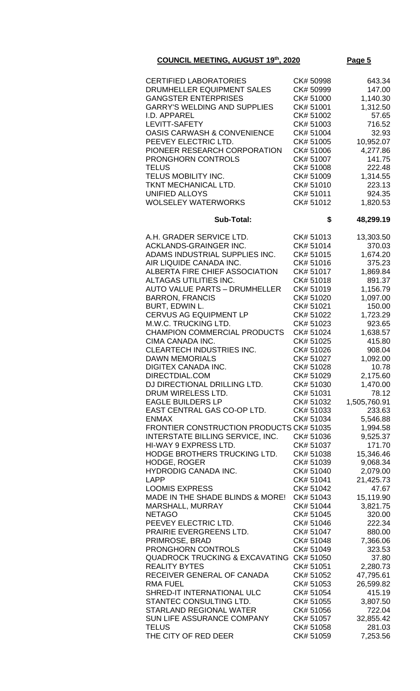| <b>CERTIFIED LABORATORIES</b>                   | CK# 50998 | 643.34       |
|-------------------------------------------------|-----------|--------------|
| DRUMHELLER EQUIPMENT SALES                      | CK# 50999 | 147.00       |
|                                                 |           |              |
| <b>GANGSTER ENTERPRISES</b>                     | CK# 51000 | 1,140.30     |
| <b>GARRY'S WELDING AND SUPPLIES</b>             | CK# 51001 | 1,312.50     |
| I.D. APPAREL                                    | CK# 51002 | 57.65        |
| LEVITT-SAFETY                                   | CK# 51003 | 716.52       |
| <b>OASIS CARWASH &amp; CONVENIENCE</b>          | CK# 51004 | 32.93        |
| PEEVEY ELECTRIC LTD.                            | CK# 51005 | 10,952.07    |
| PIONEER RESEARCH CORPORATION                    | CK# 51006 | 4,277.86     |
|                                                 |           |              |
| <b>PRONGHORN CONTROLS</b>                       | CK# 51007 | 141.75       |
| <b>TELUS</b>                                    | CK# 51008 | 222.48       |
| TELUS MOBILITY INC.                             | CK# 51009 | 1,314.55     |
| TKNT MECHANICAL LTD.                            | CK# 51010 | 223.13       |
| <b>UNIFIED ALLOYS</b>                           | CK# 51011 | 924.35       |
| <b>WOLSELEY WATERWORKS</b>                      | CK# 51012 | 1,820.53     |
|                                                 |           |              |
| <b>Sub-Total:</b>                               | \$        | 48,299.19    |
|                                                 |           |              |
| A.H. GRADER SERVICE LTD.                        | CK# 51013 | 13,303.50    |
| ACKLANDS-GRAINGER INC.                          | CK# 51014 | 370.03       |
| ADAMS INDUSTRIAL SUPPLIES INC.                  | CK# 51015 | 1,674.20     |
| AIR LIQUIDE CANADA INC.                         | CK# 51016 | 375.23       |
| ALBERTA FIRE CHIEF ASSOCIATION                  | CK# 51017 | 1,869.84     |
| ALTAGAS UTILITIES INC.                          | CK# 51018 | 891.37       |
| <b>AUTO VALUE PARTS - DRUMHELLER</b>            | CK#51019  | 1,156.79     |
|                                                 |           |              |
| <b>BARRON, FRANCIS</b>                          | CK# 51020 | 1,097.00     |
| BURT, EDWIN L.                                  | CK# 51021 | 150.00       |
| <b>CERVUS AG EQUIPMENT LP</b>                   | CK# 51022 | 1,723.29     |
| M.W.C. TRUCKING LTD.                            | CK# 51023 | 923.65       |
| <b>CHAMPION COMMERCIAL PRODUCTS</b>             | CK# 51024 | 1,638.57     |
| CIMA CANADA INC.                                | CK# 51025 | 415.80       |
| <b>CLEARTECH INDUSTRIES INC.</b>                | CK# 51026 | 908.04       |
| <b>DAWN MEMORIALS</b>                           | CK# 51027 | 1,092.00     |
| <b>DIGITEX CANADA INC.</b>                      | CK#51028  | 10.78        |
|                                                 |           |              |
| DIRECTDIAL.COM                                  | CK# 51029 | 2,175.60     |
| DJ DIRECTIONAL DRILLING LTD.                    | CK# 51030 | 1,470.00     |
| DRUM WIRELESS LTD.                              | CK# 51031 | 78.12        |
| <b>EAGLE BUILDERS LP</b>                        | CK# 51032 | 1,505,760.91 |
| EAST CENTRAL GAS CO-OP LTD.                     | CK# 51033 | 233.63       |
| <b>ENMAX</b>                                    | CK# 51034 | 5,546.88     |
| <b>FRONTIER CONSTRUCTION PRODUCTS CK# 51035</b> |           | 1,994.58     |
| INTERSTATE BILLING SERVICE, INC.                | CK# 51036 | 9,525.37     |
| HI-WAY 9 EXPRESS LTD.                           | CK# 51037 | 171.70       |
|                                                 |           |              |
| HODGE BROTHERS TRUCKING LTD.                    | CK# 51038 | 15,346.46    |
| <b>HODGE, ROGER</b>                             | CK# 51039 | 9,068.34     |
| <b>HYDRODIG CANADA INC.</b>                     | CK# 51040 | 2,079.00     |
| <b>LAPP</b>                                     | CK# 51041 | 21,425.73    |
| <b>LOOMIS EXPRESS</b>                           | CK# 51042 | 47.67        |
| MADE IN THE SHADE BLINDS & MORE!                | CK# 51043 | 15,119.90    |
| MARSHALL, MURRAY                                | CK# 51044 | 3,821.75     |
| <b>NETAGO</b>                                   | CK# 51045 | 320.00       |
| PEEVEY ELECTRIC LTD.                            | CK# 51046 | 222.34       |
|                                                 |           |              |
| PRAIRIE EVERGREENS LTD.                         | CK# 51047 | 880.00       |
| PRIMROSE, BRAD                                  | CK# 51048 | 7,366.06     |
| PRONGHORN CONTROLS                              | CK# 51049 | 323.53       |
| <b>QUADROCK TRUCKING &amp; EXCAVATING</b>       | CK# 51050 | 37.80        |
| <b>REALITY BYTES</b>                            | CK# 51051 | 2,280.73     |
| RECEIVER GENERAL OF CANADA                      | CK# 51052 | 47,795.61    |
| <b>RMA FUEL</b>                                 | CK# 51053 | 26,599.82    |
| SHRED-IT INTERNATIONAL ULC                      | CK# 51054 | 415.19       |
| STANTEC CONSULTING LTD.                         | CK# 51055 | 3,807.50     |
| STARLAND REGIONAL WATER                         | CK# 51056 | 722.04       |
|                                                 |           |              |
| SUN LIFE ASSURANCE COMPANY                      | CK# 51057 | 32,855.42    |
| <b>TELUS</b>                                    | CK# 51058 | 281.03       |
| THE CITY OF RED DEER                            | CK# 51059 | 7,253.56     |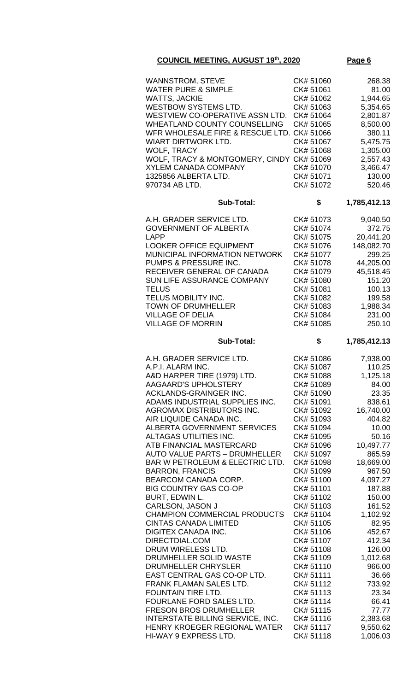| <b>WANNSTROM, STEVE</b>                                          | CK# 51060              | 268.38               |
|------------------------------------------------------------------|------------------------|----------------------|
| <b>WATER PURE &amp; SIMPLE</b>                                   | CK# 51061              | 81.00                |
| <b>WATTS, JACKIE</b>                                             | CK# 51062              | 1,944.65             |
| <b>WESTBOW SYSTEMS LTD.</b>                                      | CK# 51063              | 5,354.65             |
| WESTVIEW CO-OPERATIVE ASSN LTD.                                  | CK# 51064              | 2,801.87             |
| WHEATLAND COUNTY COUNSELLING                                     | CK# 51065              | 8,500.00             |
| WFR WHOLESALE FIRE & RESCUE LTD. CK# 51066                       |                        | 380.11               |
| <b>WIART DIRTWORK LTD.</b>                                       | CK# 51067              | 5,475.75             |
| <b>WOLF, TRACY</b>                                               | CK# 51068              | 1,305.00             |
| WOLF, TRACY & MONTGOMERY, CINDY CK# 51069                        |                        | 2,557.43             |
| <b>XYLEM CANADA COMPANY</b>                                      | CK#51070               | 3,466.47             |
| 1325856 ALBERTA LTD.                                             | CK# 51071              | 130.00               |
| 970734 AB LTD.                                                   | CK# 51072              | 520.46               |
| <b>Sub-Total:</b>                                                | \$                     | 1,785,412.13         |
| A.H. GRADER SERVICE LTD.                                         | CK# 51073              | 9,040.50             |
| <b>GOVERNMENT OF ALBERTA</b>                                     | CK# 51074              | 372.75               |
| <b>LAPP</b>                                                      | CK# 51075              | 20,441.20            |
| <b>LOOKER OFFICE EQUIPMENT</b>                                   | CK# 51076              | 148,082.70           |
| MUNICIPAL INFORMATION NETWORK                                    | CK# 51077              | 299.25               |
| PUMPS & PRESSURE INC.                                            | CK# 51078              | 44,205.00            |
| RECEIVER GENERAL OF CANADA                                       | CK# 51079              | 45,518.45            |
| SUN LIFE ASSURANCE COMPANY                                       | CK# 51080              | 151.20               |
| <b>TELUS</b>                                                     | CK# 51081              | 100.13               |
| TELUS MOBILITY INC.                                              | CK# 51082              | 199.58               |
| <b>TOWN OF DRUMHELLER</b>                                        | CK# 51083              | 1,988.34             |
| <b>VILLAGE OF DELIA</b>                                          | CK# 51084              | 231.00               |
| <b>VILLAGE OF MORRIN</b>                                         | CK# 51085              | 250.10               |
| <b>Sub-Total:</b>                                                | \$                     | 1,785,412.13         |
|                                                                  |                        |                      |
| A.H. GRADER SERVICE LTD.                                         | CK# 51086              | 7,938.00             |
| A.P.I. ALARM INC.                                                | CK# 51087              | 110.25               |
| A&D HARPER TIRE (1979) LTD.                                      | CK# 51088              | 1,125.18             |
| AAGAARD'S UPHOLSTERY                                             | CK# 51089              | 84.00                |
| ACKLANDS-GRAINGER INC.                                           | CK# 51090              | 23.35                |
| ADAMS INDUSTRIAL SUPPLIES INC.                                   | CK# 51091              | 838.61               |
| AGROMAX DISTRIBUTORS INC.<br>AIR LIQUIDE CANADA INC.             | CK# 51092              | 16,740.00<br>404.82  |
| <b>ALBERTA GOVERNMENT SERVICES</b>                               | CK# 51093<br>CK# 51094 | 10.00                |
| ALTAGAS UTILITIES INC.                                           | CK# 51095              | 50.16                |
| ATB FINANCIAL MASTERCARD                                         | CK# 51096              | 10,497.77            |
| <b>AUTO VALUE PARTS - DRUMHELLER</b>                             | CK# 51097              | 865.59               |
| BAR W PETROLEUM & ELECTRIC LTD.                                  | CK# 51098              | 18,669.00            |
| <b>BARRON, FRANCIS</b>                                           | CK# 51099              | 967.50               |
| BEARCOM CANADA CORP.                                             | CK# 51100              | 4,097.27             |
| <b>BIG COUNTRY GAS CO-OP</b>                                     | CK# 51101              | 187.88               |
| BURT, EDWIN L.                                                   | CK# 51102              | 150.00               |
| CARLSON, JASON J                                                 | CK# 51103              | 161.52               |
| <b>CHAMPION COMMERCIAL PRODUCTS</b>                              | CK# 51104              | 1,102.92             |
| <b>CINTAS CANADA LIMITED</b>                                     | CK# 51105              | 82.95                |
| <b>DIGITEX CANADA INC.</b>                                       | CK# 51106              | 452.67               |
| DIRECTDIAL.COM                                                   | CK# 51107              | 412.34               |
| DRUM WIRELESS LTD.                                               | CK# 51108              | 126.00               |
| DRUMHELLER SOLID WASTE                                           | CK# 51109              | 1,012.68             |
| DRUMHELLER CHRYSLER                                              | CK# 51110              | 966.00               |
| EAST CENTRAL GAS CO-OP LTD.                                      | CK# 51111              | 36.66                |
| FRANK FLAMAN SALES LTD.                                          | CK# 51112              | 733.92               |
| FOUNTAIN TIRE LTD.                                               | CK# 51113              | 23.34                |
| FOURLANE FORD SALES LTD.                                         | CK# 51114              | 66.41                |
| <b>FRESON BROS DRUMHELLER</b>                                    | CK# 51115              | 77.77                |
| INTERSTATE BILLING SERVICE, INC.<br>HENRY KROEGER REGIONAL WATER | CK# 51116<br>CK# 51117 | 2,383.68<br>9,550.62 |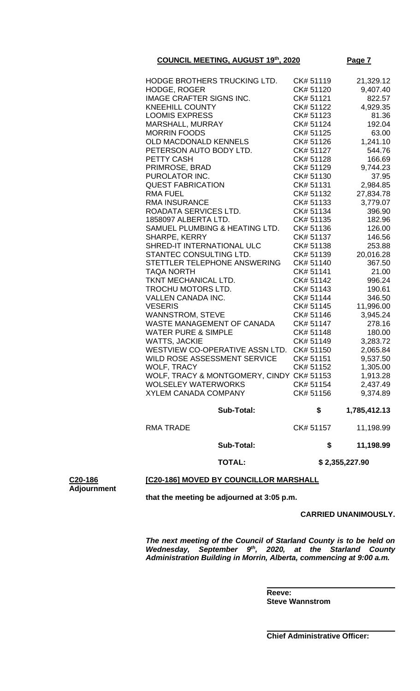| HODGE BROTHERS TRUCKING LTD.              | CK# 51119 | 21,329.12    |
|-------------------------------------------|-----------|--------------|
| HODGE, ROGER                              | CK# 51120 | 9,407.40     |
| <b>IMAGE CRAFTER SIGNS INC.</b>           | CK# 51121 | 822.57       |
| <b>KNEEHILL COUNTY</b>                    | CK# 51122 | 4,929.35     |
| <b>LOOMIS EXPRESS</b>                     | CK# 51123 | 81.36        |
| MARSHALL, MURRAY                          | CK# 51124 | 192.04       |
| <b>MORRIN FOODS</b>                       | CK# 51125 | 63.00        |
| <b>OLD MACDONALD KENNELS</b>              | CK# 51126 | 1,241.10     |
| PETERSON AUTO BODY LTD.                   | CK# 51127 | 544.76       |
| PETTY CASH                                | CK# 51128 | 166.69       |
| PRIMROSE, BRAD                            | CK# 51129 | 9,744.23     |
| PUROLATOR INC.                            | CK# 51130 | 37.95        |
| <b>QUEST FABRICATION</b>                  | CK# 51131 | 2,984.85     |
| <b>RMA FUEL</b>                           | CK# 51132 | 27,834.78    |
| <b>RMA INSURANCE</b>                      | CK# 51133 | 3,779.07     |
| ROADATA SERVICES LTD.                     | CK# 51134 | 396.90       |
| 1858097 ALBERTA LTD.                      | CK# 51135 | 182.96       |
| SAMUEL PLUMBING & HEATING LTD.            | CK# 51136 | 126.00       |
| <b>SHARPE, KERRY</b>                      | CK# 51137 | 146.56       |
| SHRED-IT INTERNATIONAL ULC                | CK# 51138 | 253.88       |
| STANTEC CONSULTING LTD.                   | CK# 51139 | 20,016.28    |
| STETTLER TELEPHONE ANSWERING              | CK# 51140 | 367.50       |
| <b>TAQA NORTH</b>                         | CK# 51141 | 21.00        |
| TKNT MECHANICAL LTD.                      | CK# 51142 | 996.24       |
| TROCHU MOTORS LTD.                        | CK# 51143 | 190.61       |
| <b>VALLEN CANADA INC.</b>                 | CK# 51144 | 346.50       |
| <b>VESERIS</b>                            | CK# 51145 | 11,996.00    |
| <b>WANNSTROM, STEVE</b>                   | CK# 51146 | 3,945.24     |
| WASTE MANAGEMENT OF CANADA                | CK# 51147 | 278.16       |
| <b>WATER PURE &amp; SIMPLE</b>            | CK# 51148 | 180.00       |
| <b>WATTS, JACKIE</b>                      | CK# 51149 | 3,283.72     |
| WESTVIEW CO-OPERATIVE ASSN LTD.           | CK# 51150 | 2,065.84     |
| WILD ROSE ASSESSMENT SERVICE              | CK# 51151 | 9,537.50     |
| <b>WOLF, TRACY</b>                        | CK# 51152 | 1,305.00     |
| WOLF, TRACY & MONTGOMERY, CINDY CK# 51153 |           | 1,913.28     |
| WOLSELEY WATERWORKS                       | CK# 51154 | 2,437.49     |
| <b>XYLEM CANADA COMPANY</b>               | CK# 51156 | 9,374.89     |
| <b>Sub-Total:</b>                         | \$        | 1,785,412.13 |
| <b>RMA TRADE</b>                          | CK# 51157 | 11,198.99    |
| <b>Sub-Total:</b>                         | \$        | 11,198.99    |

 **TOTAL: \$ 2,355,227.90**

### **[C20-186] MOVED BY COUNCILLOR MARSHALL**

**C20-186 Adjournment**

**that the meeting be adjourned at 3:05 p.m.**

### **CARRIED UNANIMOUSLY.**

*The next meeting of the Council of Starland County is to be held on*  Wednesday, September 9<sup>th</sup>, 2020, at the Starland County *Administration Building in Morrin, Alberta, commencing at 9:00 a.m.*

**Reeve: Steve Wannstrom**

**Chief Administrative Officer:**